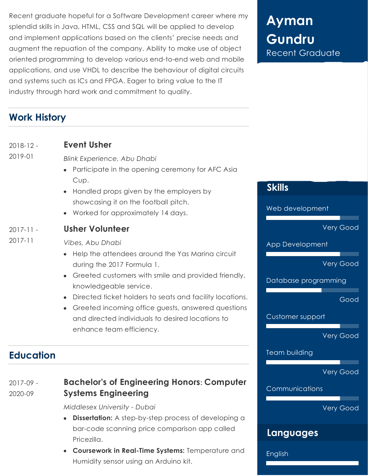Recent graduate hopeful for a Software Development career where my splendid skills in Java, HTML, CSS and SQL will be applied to develop and implement applications based on the clients' precise needs and augment the repuation of the company. Ability to make use of object oriented programming to develop various end-to-end web and mobile applications, and use VHDL to describe the behaviour of digital circuits and systems such as ICs and FPGA. Eager to bring value to the IT industry through hard work and commitment to quality.

# **Ayman Gundru** Recent Graduate

## **Work History**

| $2018 - 12 -$                | <b>Event Usher</b>                                                                                                                                                                                                                                            |                                  |
|------------------------------|---------------------------------------------------------------------------------------------------------------------------------------------------------------------------------------------------------------------------------------------------------------|----------------------------------|
| 2019-01                      | <b>Blink Experience, Abu Dhabi</b><br>Participate in the opening ceremony for AFC Asia<br>$\bullet$<br>Cup.<br>Handled props given by the employers by<br>$\bullet$<br>showcasing it on the football pitch.<br>Worked for approximately 14 days.<br>$\bullet$ | <b>Skills</b><br>Web development |
| $2017 - 11 -$<br>$2017 - 11$ | <b>Usher Volunteer</b>                                                                                                                                                                                                                                        | <b>Very Good</b>                 |
|                              | Vibes, Abu Dhabi                                                                                                                                                                                                                                              | App Development                  |
|                              | Help the attendees around the Yas Marina circuit<br>$\bullet$<br>during the 2017 Formula 1.<br>Greeted customers with smile and provided friendly,<br>$\bullet$                                                                                               | <b>Very Good</b>                 |
|                              | knowledgeable service.                                                                                                                                                                                                                                        | Database programming             |
|                              | Directed ticket holders to seats and facility locations.<br>$\bullet$<br>Greeted incoming office guests, answered questions<br>$\bullet$                                                                                                                      | Good                             |
|                              | and directed individuals to desired locations to                                                                                                                                                                                                              | Customer support                 |
|                              | enhance team efficiency.                                                                                                                                                                                                                                      | <b>Very Good</b>                 |

## **Education**

#### 2017-09 - 2020-09 **Bachelor's of Engineering Honors: Computer Systems Engineering**

*Middlesex University - Dubai*

- **Dissertation:** A step-by-step process of developing a  $\bullet$ bar-code scanning price comparison app called Pricezilla.
- **Coursework in Real-Time Systems:** Temperature and Humidity sensor using an Arduino kit.

Very Good

Communications

Team building

Very Good

## **Languages**

English